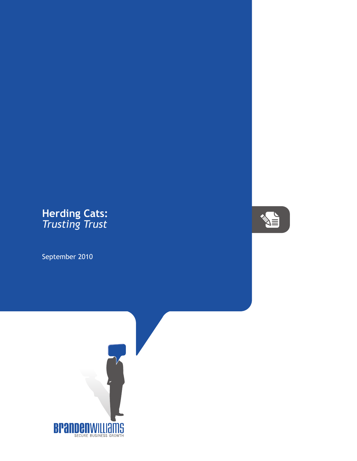## **Herding Cats:** *Trusting Trust*

September 2010



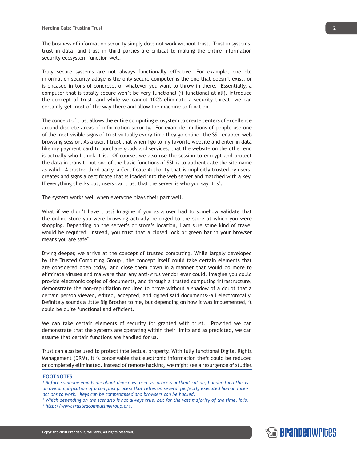The business of information security simply does not work without trust. Trust in systems, trust in data, and trust in third parties are critical to making the entire information security ecosystem function well.

Truly secure systems are not always functionally effective. For example, one old information security adage is the only secure computer is the one that doesn't exist, or is encased in tons of concrete, or whatever you want to throw in there. Essentially, a computer that is totally secure won't be very functional (if functional at all). Introduce the concept of trust, and while we cannot 100% eliminate a security threat, we can certainly get most of the way there and allow the machine to function.

The concept of trust allows the entire computing ecosystem to create centers of excellence around discrete areas of information security. For example, millions of people use one of the most visible signs of trust virtually every time they go online--the SSL-enabled web browsing session. As a user, I trust that when I go to my favorite website and enter in data like my payment card to purchase goods and services, that the website on the other end is actually who I think it is. Of course, we also use the session to encrypt and protect the data in transit, but one of the basic functions of SSL is to authenticate the site name as valid. A trusted third party, a Certificate Authority that is implicitly trusted by users, creates and signs a certificate that is loaded into the web server and matched with a key. If everything checks out, users can trust that the server is who you say it is<sup>1</sup>.

The system works well when everyone plays their part well.

What if we didn't have trust? Imagine if you as a user had to somehow validate that the online store you were browsing actually belonged to the store at which you were shopping. Depending on the server's or store's location, I am sure some kind of travel would be required. Instead, you trust that a closed lock or green bar in your browser means you are safe<sup>2</sup>.

Diving deeper, we arrive at the concept of trusted computing. While largely developed by the Trusted Computing Group<sup>3</sup>, the concept itself could take certain elements that are considered open today, and close them down in a manner that would do more to eliminate viruses and malware than any anti-virus vendor ever could. Imagine you could provide electronic copies of documents, and through a trusted computing infrastructure, demonstrate the non-repudiation required to prove without a shadow of a doubt that a certain person viewed, edited, accepted, and signed said documents--all electronically. Definitely sounds a little Big Brother to me, but depending on how it was implemented, it could be quite functional and efficient.

We can take certain elements of security for granted with trust. Provided we can demonstrate that the systems are operating within their limits and as predicted, we can assume that certain functions are handled for us.

Trust can also be used to protect intellectual property. With fully functional Digital Rights Management (DRM), it is conceivable that electronic information theft could be reduced or completely eliminated. Instead of remote hacking, we might see a resurgence of studies

## **FOOTNOTES**

*1 Before someone emails me about device vs. user vs. process authentication, I understand this is an oversimplification of a complex process that relies on several perfectly executed human interactions to work. Keys can be compromised and browsers can be hacked.*

*2 Which depending on the scenario is not always true, but for the vast majority of the time, it is. 3 http://www.trustedcomputinggroup.org.*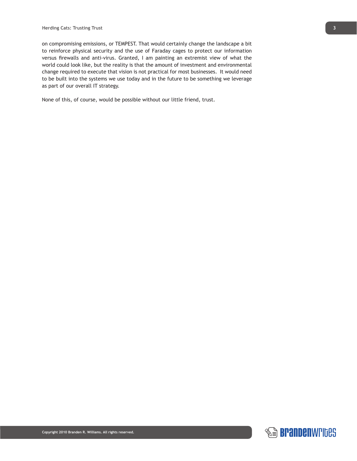on compromising emissions, or TEMPEST. That would certainly change the landscape a bit to reinforce physical security and the use of Faraday cages to protect our information versus firewalls and anti-virus. Granted, I am painting an extremist view of what the world could look like, but the reality is that the amount of investment and environmental change required to execute that vision is not practical for most businesses. It would need to be built into the systems we use today and in the future to be something we leverage as part of our overall IT strategy.

None of this, of course, would be possible without our little friend, trust.